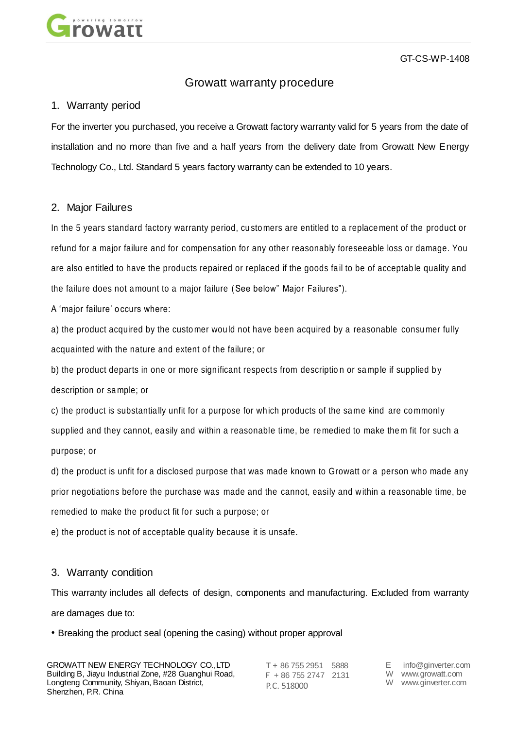

GT-CS-WP-1408

# Growatt warranty procedure

## 1. Warranty period

For the inverter you purchased, you receive a Growatt factory warranty valid for 5 years from the date of installation and no more than five and a half years from the delivery date from Growatt New Energy Technology Co., Ltd. Standard 5 years factory warranty can be extended to 10 years.

## 2. Major Failures

In the 5 years standard factory warranty period, cu sto mers are entitled to a replace ment of the product or refund for a major failure and for compensation for any other reasonably foreseeable loss or damage. You are also entitled to have the products repaired or replaced if the goods fail to be of acceptable quality and the failure does not a mount to a major failure (See below" Major Failures").

A "major failure" o ccurs where:

a) the product acquired by the customer would not have been acquired by a reasonable consumer fully acquainted with the nature and extent of the failure; or

b) the product departs in one or more significant respects from description or sample if supplied by description or sa mple; or

c) the product is substantially unfit for a purpose for which products of the same kind are commonly supplied and they cannot, easily and within a reasonable time, be remedied to make them fit for such a purpose; or

d) the product is unfit for a disclosed purpose that was made known to Growatt or a person who made any prior negotiations before the purchase was made and the cannot, easily and within a reasonable time, be remedied to make the produ ct fit for such a purpose; or

e) the product is not of acceptable quality because it is unsafe.

# 3. Warranty condition

This warranty includes all defects of design, components and manufacturing. Excluded from warranty are damages due to:

• Breaking the product seal (opening the casing) without proper approval

T + 86 755 2951 5888 F + 86 755 2747 2131 P.C. 518000

- E info@ginverter.com W www.growatt.com
- W www.ginverter.com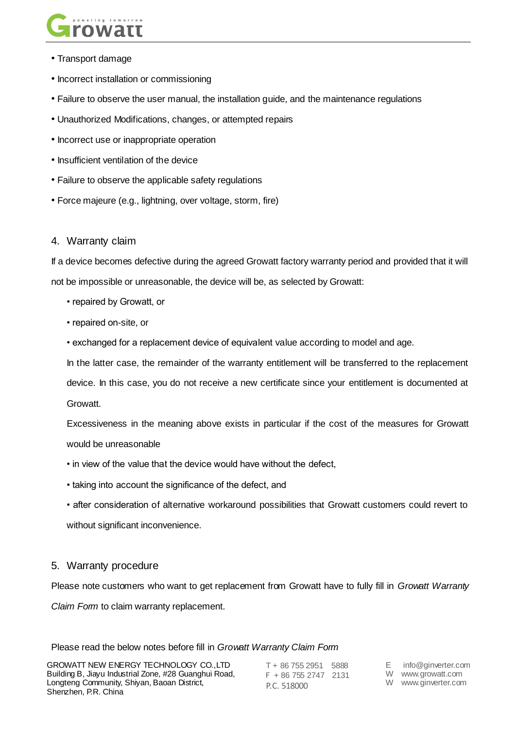

- Transport damage
- Incorrect installation or commissioning
- Failure to observe the user manual, the installation guide, and the maintenance regulations
- Unauthorized Modifications, changes, or attempted repairs
- Incorrect use or inappropriate operation
- Insufficient ventilation of the device
- Failure to observe the applicable safety regulations
- Force majeure (e.g., lightning, over voltage, storm, fire)

#### 4. Warranty claim

If a device becomes defective during the agreed Growatt factory warranty period and provided that it will not be impossible or unreasonable, the device will be, as selected by Growatt:

- repaired by Growatt, or
- repaired on-site, or
- exchanged for a replacement device of equivalent value according to model and age.

In the latter case, the remainder of the warranty entitlement will be transferred to the replacement device. In this case, you do not receive a new certificate since your entitlement is documented at Growatt.

Excessiveness in the meaning above exists in particular if the cost of the measures for Growatt would be unreasonable

- in view of the value that the device would have without the defect,
- taking into account the significance of the defect, and
- after consideration of alternative workaround possibilities that Growatt customers could revert to without significant inconvenience.

## 5. Warranty procedure

Please note customers who want to get replacement from Growatt have to fully fill in *Growatt Warranty Claim Form* to claim warranty replacement.

Please read the below notes before fill in *Growatt Warranty Claim Form*

GROWATT NEW ENERGY TECHNOLOGY CO.,LTD Building B, Jiayu Industrial Zone, #28 Guanghui Road, Longteng Community, Shiyan, Baoan District, Shenzhen, P.R. China

T + 86 755 2951 5888 F + 86 755 2747 2131 P.C. 518000

E info@ginverter.com

W www.growatt.com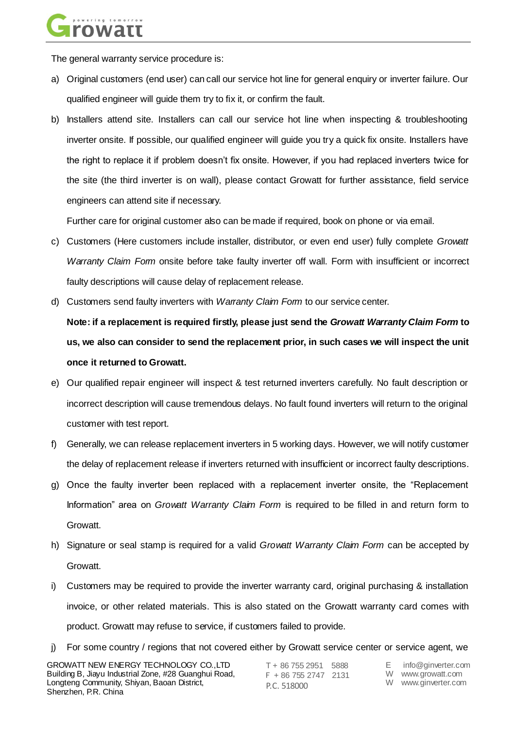

The general warranty service procedure is:

- a) Original customers (end user) can call our service hot line for general enquiry or inverter failure. Our qualified engineer will guide them try to fix it, or confirm the fault.
- b) Installers attend site. Installers can call our service hot line when inspecting & troubleshooting inverter onsite. If possible, our qualified engineer will guide you try a quick fix onsite. Installers have the right to replace it if problem doesn"t fix onsite. However, if you had replaced inverters twice for the site (the third inverter is on wall), please contact Growatt for further assistance, field service engineers can attend site if necessary.

Further care for original customer also can be made if required, book on phone or via email.

- c) Customers (Here customers include installer, distributor, or even end user) fully complete *Growatt Warranty Claim Form* onsite before take faulty inverter off wall. Form with insufficient or incorrect faulty descriptions will cause delay of replacement release.
- d) Customers send faulty inverters with *Warranty Claim Form* to our service center.

**Note: if a replacement is required firstly, please just send the** *Growatt Warranty Claim Form* **to us, we also can consider to send the replacement prior, in such cases we will inspect the unit once it returned to Growatt.**

- e) Our qualified repair engineer will inspect & test returned inverters carefully. No fault description or incorrect description will cause tremendous delays. No fault found inverters will return to the original customer with test report.
- f) Generally, we can release replacement inverters in 5 working days. However, we will notify customer the delay of replacement release if inverters returned with insufficient or incorrect faulty descriptions.
- g) Once the faulty inverter been replaced with a replacement inverter onsite, the "Replacement Information" area on *Growatt Warranty Claim Form* is required to be filled in and return form to Growatt.
- h) Signature or seal stamp is required for a valid *Growatt Warranty Claim Form* can be accepted by Growatt.
- i) Customers may be required to provide the inverter warranty card, original purchasing & installation invoice, or other related materials. This is also stated on the Growatt warranty card comes with product. Growatt may refuse to service, if customers failed to provide.
- j) For some country / regions that not covered either by Growatt service center or service agent, we

T + 86 755 2951 5888 F + 86 755 2747 2131 P.C. 518000

E info@ginverter.com

- W www.growatt.com
- W www.ginverter.com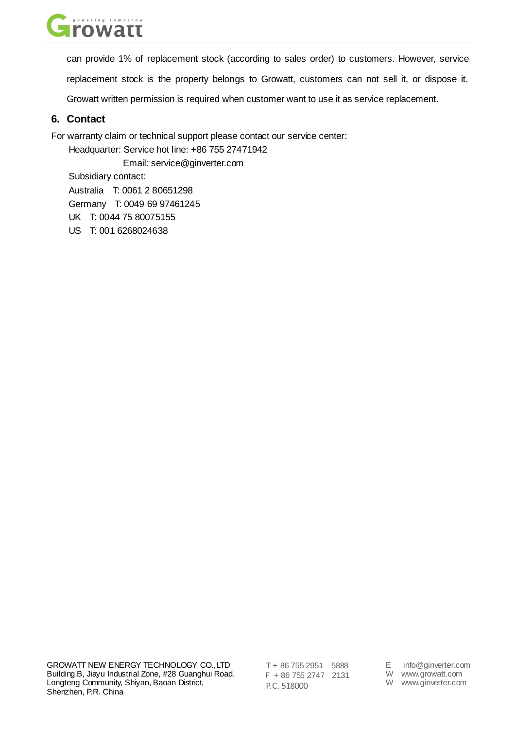

can provide 1% of replacement stock (according to sales order) to customers. However, service

replacement stock is the property belongs to Growatt, customers can not sell it, or dispose it.

Growatt written permission is required when customer want to use it as service replacement.

# **6. Contact**

For warranty claim or technical support please contact our service center:

Headquarter: Service hot line: +86 755 27471942

Email: service@ginverter.com

Subsidiary contact:

Australia T: 0061 2 80651298

Germany T: 0049 69 97461245

UK T: 0044 75 80075155

US T: 001 6268024638

T + 86 755 2951 5888 F + 86 755 2747 2131 P.C. 518000

E info@ginverter.com

W www.growatt.com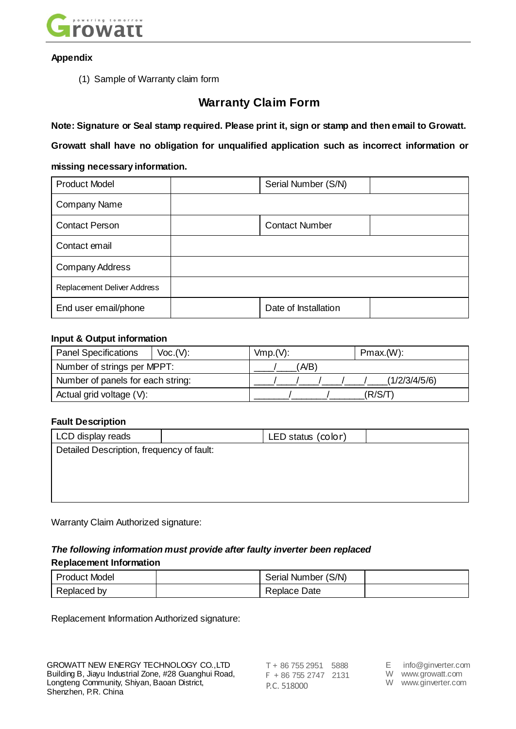

### **Appendix**

(1) Sample of Warranty claim form

# **Warranty Claim Form**

**Note: Signature or Seal stamp required. Please print it, sign or stamp and then email to Growatt.**

**Growatt shall have no obligation for unqualified application such as incorrect information or** 

## **missing necessary information.**

| <b>Product Model</b>        | Serial Number (S/N)   |  |  |  |
|-----------------------------|-----------------------|--|--|--|
| <b>Company Name</b>         |                       |  |  |  |
| <b>Contact Person</b>       | <b>Contact Number</b> |  |  |  |
| Contact email               |                       |  |  |  |
| <b>Company Address</b>      |                       |  |  |  |
| Replacement Deliver Address |                       |  |  |  |
| End user email/phone        | Date of Installation  |  |  |  |

### **Input & Output information**

| <b>Panel Specifications</b>       | Voc.(V): | Vmp.(V): |  |  | Pmax.(W):     |  |
|-----------------------------------|----------|----------|--|--|---------------|--|
| Number of strings per MPPT:       |          | 'A/B)    |  |  |               |  |
| Number of panels for each string: |          |          |  |  | (1/2/3/4/5/6) |  |
| Actual grid voltage (V):          |          |          |  |  | (R/S/T)       |  |

## **Fault Description**

| LCD display reads                         |  | LED status (color) |  |  |
|-------------------------------------------|--|--------------------|--|--|
| Detailed Description, frequency of fault: |  |                    |  |  |
|                                           |  |                    |  |  |
|                                           |  |                    |  |  |
|                                           |  |                    |  |  |
|                                           |  |                    |  |  |

Warranty Claim Authorized signature:

# *The following information must provide after faulty inverter been replaced* **Replacement Information**

| <b>Product Model</b> | Serial Number (S/N) |  |
|----------------------|---------------------|--|
| Replaced by          | Replace Date        |  |

Replacement Information Authorized signature:

T + 86 755 2951 5888 F + 86 755 2747 2131 P.C. 518000

E info@ginverter.com

W www.growatt.com